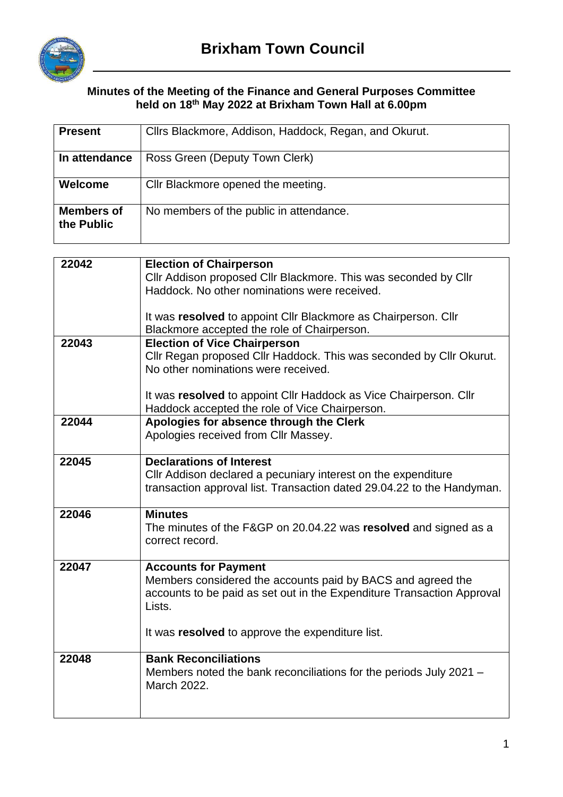

## **Minutes of the Meeting of the Finance and General Purposes Committee held on 18th May 2022 at Brixham Town Hall at 6.00pm**

| <b>Present</b>                  | Clirs Blackmore, Addison, Haddock, Regan, and Okurut.                                                                                                                          |
|---------------------------------|--------------------------------------------------------------------------------------------------------------------------------------------------------------------------------|
| In attendance                   | Ross Green (Deputy Town Clerk)                                                                                                                                                 |
| Welcome                         | Cllr Blackmore opened the meeting.                                                                                                                                             |
| <b>Members of</b><br>the Public | No members of the public in attendance.                                                                                                                                        |
| 22042                           |                                                                                                                                                                                |
|                                 | <b>Election of Chairperson</b><br>Cllr Addison proposed Cllr Blackmore. This was seconded by Cllr<br>Haddock. No other nominations were received.                              |
|                                 | It was resolved to appoint Cllr Blackmore as Chairperson. Cllr<br>Blackmore accepted the role of Chairperson.                                                                  |
| 22043                           | <b>Election of Vice Chairperson</b><br>Cllr Regan proposed Cllr Haddock. This was seconded by Cllr Okurut.<br>No other nominations were received.                              |
|                                 | It was resolved to appoint Cllr Haddock as Vice Chairperson. Cllr<br>Haddock accepted the role of Vice Chairperson.                                                            |
| 22044                           | Apologies for absence through the Clerk<br>Apologies received from Cllr Massey.                                                                                                |
| 22045                           | <b>Declarations of Interest</b><br>CIIr Addison declared a pecuniary interest on the expenditure<br>transaction approval list. Transaction dated 29.04.22 to the Handyman.     |
| 22046                           | <b>Minutes</b><br>The minutes of the F&GP on 20.04.22 was resolved and signed as a<br>correct record.                                                                          |
| 22047                           | <b>Accounts for Payment</b><br>Members considered the accounts paid by BACS and agreed the<br>accounts to be paid as set out in the Expenditure Transaction Approval<br>Lists. |
|                                 | It was resolved to approve the expenditure list.                                                                                                                               |
| 22048                           | <b>Bank Reconciliations</b><br>Members noted the bank reconciliations for the periods July 2021 -<br>March 2022.                                                               |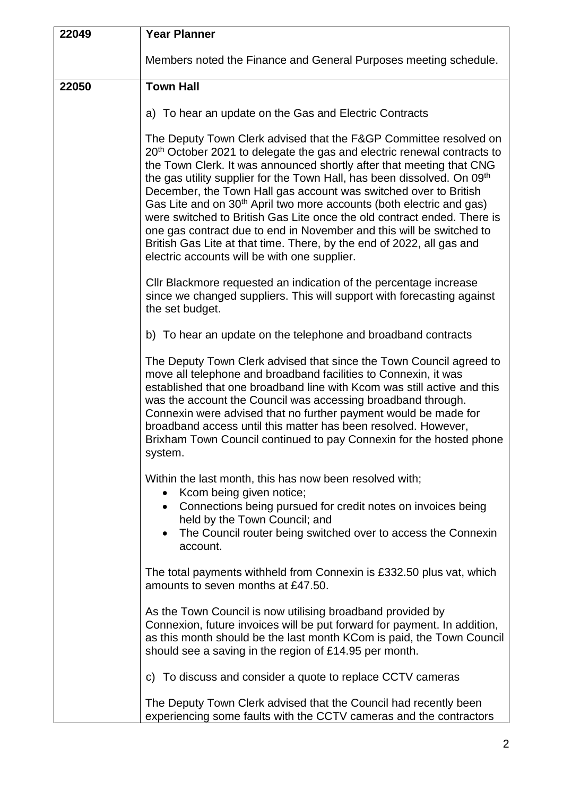| 22049 | <b>Year Planner</b>                                                                                                                                                                                                                                                                                                                                                                                                                                                                                                                                                                                                                                                                                                                                         |
|-------|-------------------------------------------------------------------------------------------------------------------------------------------------------------------------------------------------------------------------------------------------------------------------------------------------------------------------------------------------------------------------------------------------------------------------------------------------------------------------------------------------------------------------------------------------------------------------------------------------------------------------------------------------------------------------------------------------------------------------------------------------------------|
|       | Members noted the Finance and General Purposes meeting schedule.                                                                                                                                                                                                                                                                                                                                                                                                                                                                                                                                                                                                                                                                                            |
| 22050 | <b>Town Hall</b>                                                                                                                                                                                                                                                                                                                                                                                                                                                                                                                                                                                                                                                                                                                                            |
|       | a) To hear an update on the Gas and Electric Contracts                                                                                                                                                                                                                                                                                                                                                                                                                                                                                                                                                                                                                                                                                                      |
|       | The Deputy Town Clerk advised that the F&GP Committee resolved on<br>20 <sup>th</sup> October 2021 to delegate the gas and electric renewal contracts to<br>the Town Clerk. It was announced shortly after that meeting that CNG<br>the gas utility supplier for the Town Hall, has been dissolved. On 09 <sup>th</sup><br>December, the Town Hall gas account was switched over to British<br>Gas Lite and on 30 <sup>th</sup> April two more accounts (both electric and gas)<br>were switched to British Gas Lite once the old contract ended. There is<br>one gas contract due to end in November and this will be switched to<br>British Gas Lite at that time. There, by the end of 2022, all gas and<br>electric accounts will be with one supplier. |
|       | CIIr Blackmore requested an indication of the percentage increase<br>since we changed suppliers. This will support with forecasting against<br>the set budget.                                                                                                                                                                                                                                                                                                                                                                                                                                                                                                                                                                                              |
|       | b) To hear an update on the telephone and broadband contracts                                                                                                                                                                                                                                                                                                                                                                                                                                                                                                                                                                                                                                                                                               |
|       | The Deputy Town Clerk advised that since the Town Council agreed to<br>move all telephone and broadband facilities to Connexin, it was<br>established that one broadband line with Kcom was still active and this<br>was the account the Council was accessing broadband through.<br>Connexin were advised that no further payment would be made for<br>broadband access until this matter has been resolved. However,<br>Brixham Town Council continued to pay Connexin for the hosted phone<br>system.                                                                                                                                                                                                                                                    |
|       | Within the last month, this has now been resolved with;<br>Kcom being given notice;<br>Connections being pursued for credit notes on invoices being<br>$\bullet$<br>held by the Town Council; and<br>The Council router being switched over to access the Connexin<br>account.                                                                                                                                                                                                                                                                                                                                                                                                                                                                              |
|       | The total payments withheld from Connexin is £332.50 plus vat, which<br>amounts to seven months at £47.50.                                                                                                                                                                                                                                                                                                                                                                                                                                                                                                                                                                                                                                                  |
|       | As the Town Council is now utilising broadband provided by<br>Connexion, future invoices will be put forward for payment. In addition,<br>as this month should be the last month KCom is paid, the Town Council<br>should see a saving in the region of £14.95 per month.                                                                                                                                                                                                                                                                                                                                                                                                                                                                                   |
|       | c) To discuss and consider a quote to replace CCTV cameras                                                                                                                                                                                                                                                                                                                                                                                                                                                                                                                                                                                                                                                                                                  |
|       | The Deputy Town Clerk advised that the Council had recently been<br>experiencing some faults with the CCTV cameras and the contractors                                                                                                                                                                                                                                                                                                                                                                                                                                                                                                                                                                                                                      |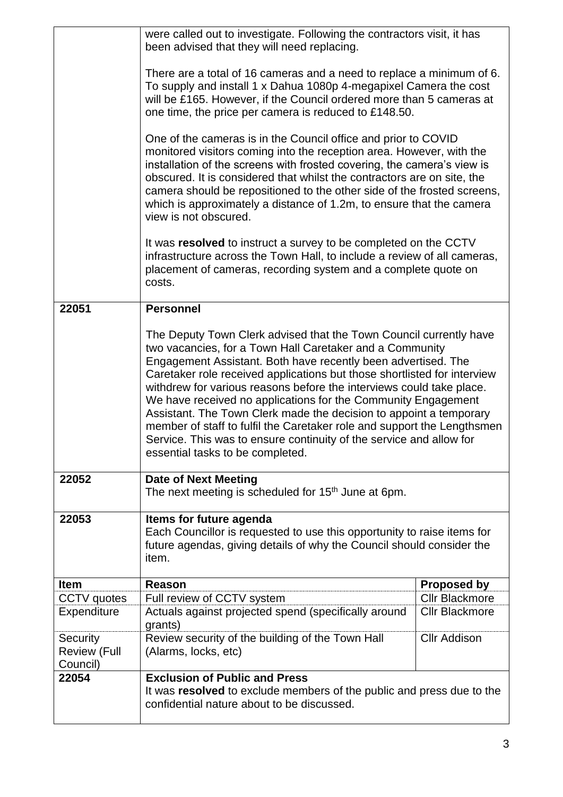|                                             | were called out to investigate. Following the contractors visit, it has<br>been advised that they will need replacing.                                                                                                                                                                                                                                                                                                                                                                                                                                                                                                                                                           |                       |
|---------------------------------------------|----------------------------------------------------------------------------------------------------------------------------------------------------------------------------------------------------------------------------------------------------------------------------------------------------------------------------------------------------------------------------------------------------------------------------------------------------------------------------------------------------------------------------------------------------------------------------------------------------------------------------------------------------------------------------------|-----------------------|
|                                             | There are a total of 16 cameras and a need to replace a minimum of 6.<br>To supply and install 1 x Dahua 1080p 4-megapixel Camera the cost<br>will be £165. However, if the Council ordered more than 5 cameras at<br>one time, the price per camera is reduced to £148.50.                                                                                                                                                                                                                                                                                                                                                                                                      |                       |
|                                             | One of the cameras is in the Council office and prior to COVID<br>monitored visitors coming into the reception area. However, with the<br>installation of the screens with frosted covering, the camera's view is<br>obscured. It is considered that whilst the contractors are on site, the<br>camera should be repositioned to the other side of the frosted screens,<br>which is approximately a distance of 1.2m, to ensure that the camera<br>view is not obscured.                                                                                                                                                                                                         |                       |
|                                             | It was resolved to instruct a survey to be completed on the CCTV<br>infrastructure across the Town Hall, to include a review of all cameras,<br>placement of cameras, recording system and a complete quote on<br>costs.                                                                                                                                                                                                                                                                                                                                                                                                                                                         |                       |
| 22051                                       | <b>Personnel</b>                                                                                                                                                                                                                                                                                                                                                                                                                                                                                                                                                                                                                                                                 |                       |
|                                             | The Deputy Town Clerk advised that the Town Council currently have<br>two vacancies, for a Town Hall Caretaker and a Community<br>Engagement Assistant. Both have recently been advertised. The<br>Caretaker role received applications but those shortlisted for interview<br>withdrew for various reasons before the interviews could take place.<br>We have received no applications for the Community Engagement<br>Assistant. The Town Clerk made the decision to appoint a temporary<br>member of staff to fulfil the Caretaker role and support the Lengthsmen<br>Service. This was to ensure continuity of the service and allow for<br>essential tasks to be completed. |                       |
| 22052                                       | <b>Date of Next Meeting</b><br>The next meeting is scheduled for 15 <sup>th</sup> June at 6pm.                                                                                                                                                                                                                                                                                                                                                                                                                                                                                                                                                                                   |                       |
| 22053                                       | Items for future agenda<br>Each Councillor is requested to use this opportunity to raise items for<br>future agendas, giving details of why the Council should consider the<br>item.                                                                                                                                                                                                                                                                                                                                                                                                                                                                                             |                       |
| <b>Item</b>                                 | <b>Reason</b>                                                                                                                                                                                                                                                                                                                                                                                                                                                                                                                                                                                                                                                                    | <b>Proposed by</b>    |
| <b>CCTV</b> quotes                          | Full review of CCTV system                                                                                                                                                                                                                                                                                                                                                                                                                                                                                                                                                                                                                                                       | <b>Cllr Blackmore</b> |
| Expenditure                                 | Actuals against projected spend (specifically around<br>grants)                                                                                                                                                                                                                                                                                                                                                                                                                                                                                                                                                                                                                  | <b>Cllr Blackmore</b> |
| Security<br><b>Review (Full</b><br>Council) | Review security of the building of the Town Hall<br>(Alarms, locks, etc)                                                                                                                                                                                                                                                                                                                                                                                                                                                                                                                                                                                                         | <b>Cllr Addison</b>   |
| 22054                                       | <b>Exclusion of Public and Press</b><br>It was resolved to exclude members of the public and press due to the<br>confidential nature about to be discussed.                                                                                                                                                                                                                                                                                                                                                                                                                                                                                                                      |                       |